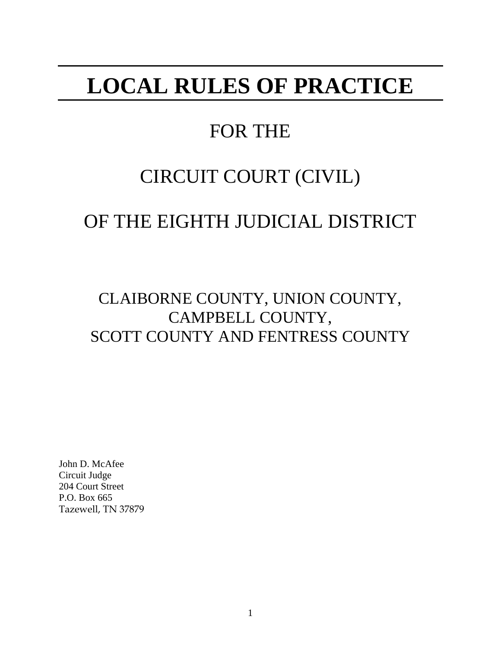# **LOCAL RULES OF PRACTICE**

# FOR THE

# CIRCUIT COURT (CIVIL)

# OF THE EIGHTH JUDICIAL DISTRICT

CLAIBORNE COUNTY, UNION COUNTY, CAMPBELL COUNTY, SCOTT COUNTY AND FENTRESS COUNTY

John D. McAfee Circuit Judge 204 Court Street P.O. Box 665 Tazewell, TN 37879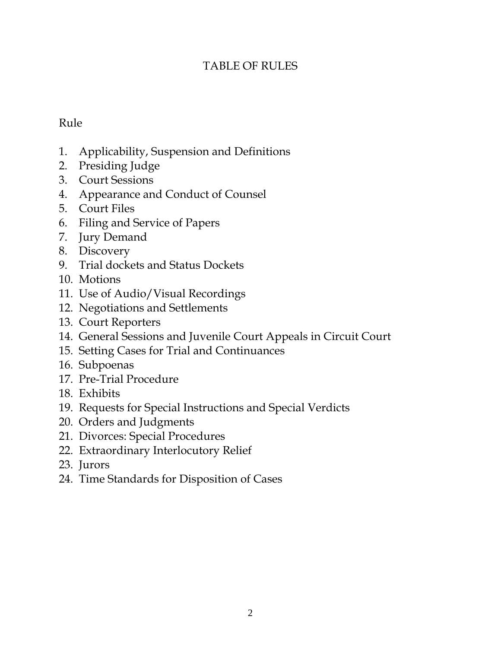# TABLE OF RULES

# Rule

- 1. Applicability, Suspension and Definitions
- 2. Presiding Judge
- 3. Court Sessions
- 4. Appearance and Conduct of Counsel
- 5. Court Files
- 6. Filing and Service of Papers
- 7. Jury Demand
- 8. Discovery
- 9. Trial dockets and Status Dockets
- 10. Motions
- 11. Use of Audio/Visual Recordings
- 12. Negotiations and Settlements
- 13. Court Reporters
- 14. General Sessions and Juvenile Court Appeals in Circuit Court
- 15. Setting Cases for Trial and Continuances
- 16. Subpoenas
- 17. Pre-Trial Procedure
- 18. Exhibits
- 19. Requests for Special Instructions and Special Verdicts
- 20. Orders and Judgments
- 21. Divorces: Special Procedures
- 22. Extraordinary Interlocutory Relief
- 23. Jurors
- 24. Time Standards for Disposition of Cases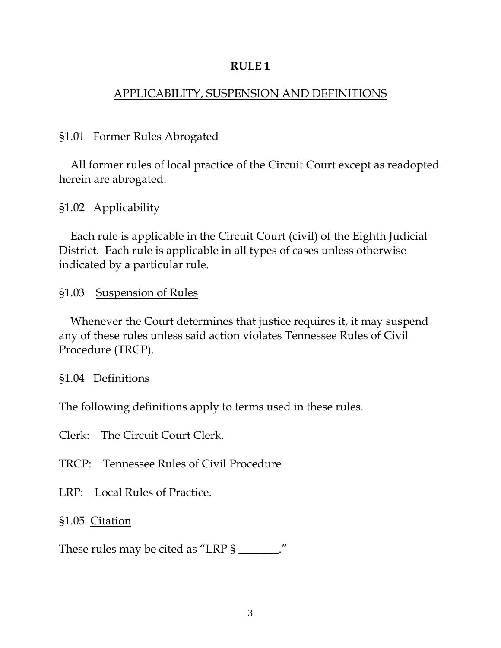## APPLICABILITY, SUSPENSION AND DEFINITIONS

## §1.01 Former Rules Abrogated

 All former rules of local practice of the Circuit Court except as readopted herein are abrogated.

§1.02 Applicability

 Each rule is applicable in the Circuit Court (civil) of the Eighth Judicial District. Each rule is applicable in all types of cases unless otherwise indicated by a particular rule.

## §1.03 Suspension of Rules

 Whenever the Court determines that justice requires it, it may suspend any of these rules unless said action violates Tennessee Rules of Civil Procedure (TRCP).

#### §1.04 Definitions

The following definitions apply to terms used in these rules.

Clerk: The Circuit Court Clerk.

TRCP: Tennessee Rules of Civil Procedure

LRP: Local Rules of Practice.

§1.05 Citation

These rules may be cited as "LRP § \_\_\_\_\_\_."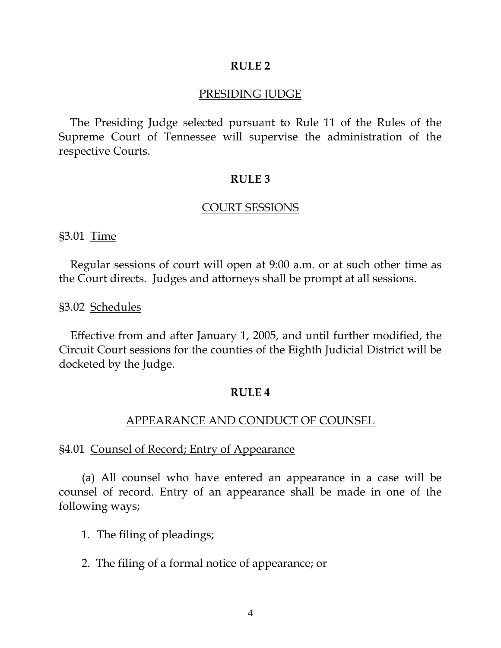#### PRESIDING JUDGE

 The Presiding Judge selected pursuant to Rule 11 of the Rules of the Supreme Court of Tennessee will supervise the administration of the respective Courts.

#### **RULE 3**

#### COURT SESSIONS

§3.01 Time

Regular sessions of court will open at 9:00 a.m. or at such other time as the Court directs. Judges and attorneys shall be prompt at all sessions.

§3.02 Schedules

Effective from and after January 1, 2005, and until further modified, the Circuit Court sessions for the counties of the Eighth Judicial District will be docketed by the Judge.

#### **RULE 4**

#### APPEARANCE AND CONDUCT OF COUNSEL

#### §4.01 Counsel of Record; Entry of Appearance

(a) All counsel who have entered an appearance in a case will be counsel of record. Entry of an appearance shall be made in one of the following ways;

- 1. The filing of pleadings;
- 2. The filing of a formal notice of appearance; or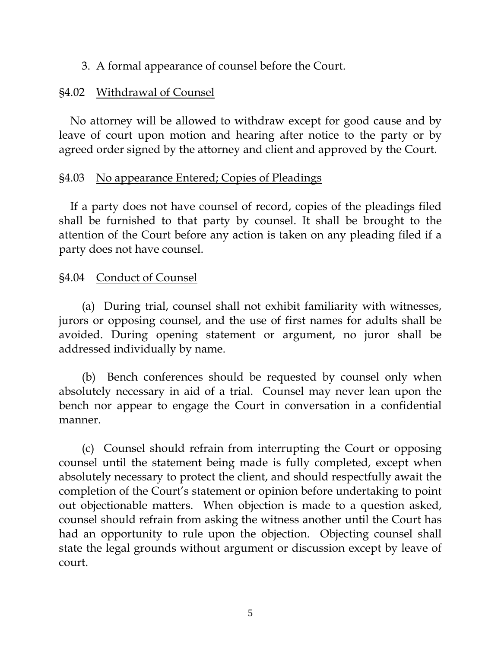3. A formal appearance of counsel before the Court.

# §4.02 Withdrawal of Counsel

No attorney will be allowed to withdraw except for good cause and by leave of court upon motion and hearing after notice to the party or by agreed order signed by the attorney and client and approved by the Court.

# §4.03 No appearance Entered; Copies of Pleadings

If a party does not have counsel of record, copies of the pleadings filed shall be furnished to that party by counsel. It shall be brought to the attention of the Court before any action is taken on any pleading filed if a party does not have counsel.

# §4.04 Conduct of Counsel

(a) During trial, counsel shall not exhibit familiarity with witnesses, jurors or opposing counsel, and the use of first names for adults shall be avoided. During opening statement or argument, no juror shall be addressed individually by name.

 (b) Bench conferences should be requested by counsel only when absolutely necessary in aid of a trial. Counsel may never lean upon the bench nor appear to engage the Court in conversation in a confidential manner.

 (c) Counsel should refrain from interrupting the Court or opposing counsel until the statement being made is fully completed, except when absolutely necessary to protect the client, and should respectfully await the completion of the Court's statement or opinion before undertaking to point out objectionable matters. When objection is made to a question asked, counsel should refrain from asking the witness another until the Court has had an opportunity to rule upon the objection. Objecting counsel shall state the legal grounds without argument or discussion except by leave of court.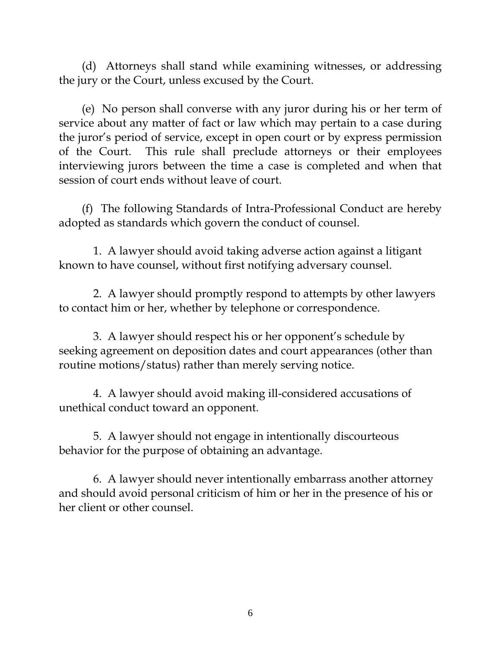(d) Attorneys shall stand while examining witnesses, or addressing the jury or the Court, unless excused by the Court.

 (e) No person shall converse with any juror during his or her term of service about any matter of fact or law which may pertain to a case during the juror's period of service, except in open court or by express permission of the Court. This rule shall preclude attorneys or their employees interviewing jurors between the time a case is completed and when that session of court ends without leave of court.

(f) The following Standards of Intra-Professional Conduct are hereby adopted as standards which govern the conduct of counsel.

 1. A lawyer should avoid taking adverse action against a litigant known to have counsel, without first notifying adversary counsel.

 2. A lawyer should promptly respond to attempts by other lawyers to contact him or her, whether by telephone or correspondence.

 3. A lawyer should respect his or her opponent's schedule by seeking agreement on deposition dates and court appearances (other than routine motions/status) rather than merely serving notice.

 4. A lawyer should avoid making ill-considered accusations of unethical conduct toward an opponent.

 5. A lawyer should not engage in intentionally discourteous behavior for the purpose of obtaining an advantage.

 6. A lawyer should never intentionally embarrass another attorney and should avoid personal criticism of him or her in the presence of his or her client or other counsel.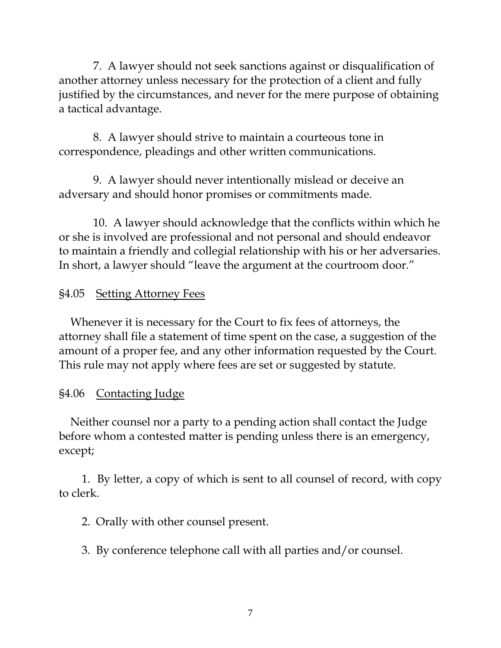7. A lawyer should not seek sanctions against or disqualification of another attorney unless necessary for the protection of a client and fully justified by the circumstances, and never for the mere purpose of obtaining a tactical advantage.

 8. A lawyer should strive to maintain a courteous tone in correspondence, pleadings and other written communications.

 9. A lawyer should never intentionally mislead or deceive an adversary and should honor promises or commitments made.

 10. A lawyer should acknowledge that the conflicts within which he or she is involved are professional and not personal and should endeavor to maintain a friendly and collegial relationship with his or her adversaries. In short, a lawyer should "leave the argument at the courtroom door."

# §4.05 Setting Attorney Fees

 Whenever it is necessary for the Court to fix fees of attorneys, the attorney shall file a statement of time spent on the case, a suggestion of the amount of a proper fee, and any other information requested by the Court. This rule may not apply where fees are set or suggested by statute.

# §4.06 Contacting Judge

 Neither counsel nor a party to a pending action shall contact the Judge before whom a contested matter is pending unless there is an emergency, except;

 1. By letter, a copy of which is sent to all counsel of record, with copy to clerk.

2. Orally with other counsel present.

3. By conference telephone call with all parties and/or counsel.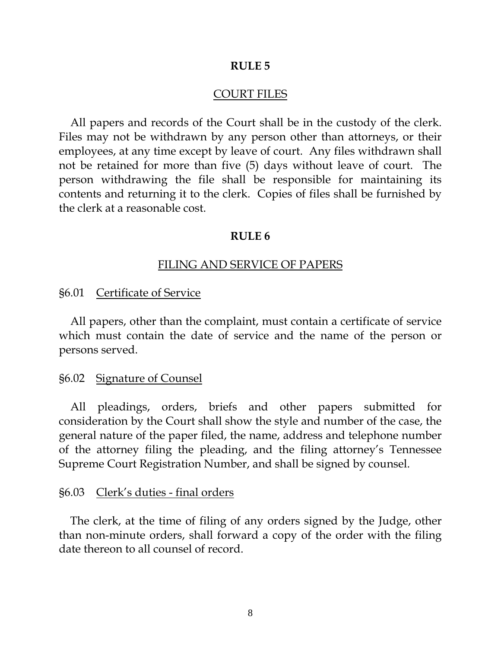#### COURT FILES

All papers and records of the Court shall be in the custody of the clerk. Files may not be withdrawn by any person other than attorneys, or their employees, at any time except by leave of court. Any files withdrawn shall not be retained for more than five (5) days without leave of court. The person withdrawing the file shall be responsible for maintaining its contents and returning it to the clerk. Copies of files shall be furnished by the clerk at a reasonable cost.

#### **RULE 6**

#### FILING AND SERVICE OF PAPERS

§6.01 Certificate of Service

All papers, other than the complaint, must contain a certificate of service which must contain the date of service and the name of the person or persons served.

#### §6.02 Signature of Counsel

All pleadings, orders, briefs and other papers submitted for consideration by the Court shall show the style and number of the case, the general nature of the paper filed, the name, address and telephone number of the attorney filing the pleading, and the filing attorney's Tennessee Supreme Court Registration Number, and shall be signed by counsel.

#### §6.03 Clerk's duties - final orders

The clerk, at the time of filing of any orders signed by the Judge, other than non-minute orders, shall forward a copy of the order with the filing date thereon to all counsel of record.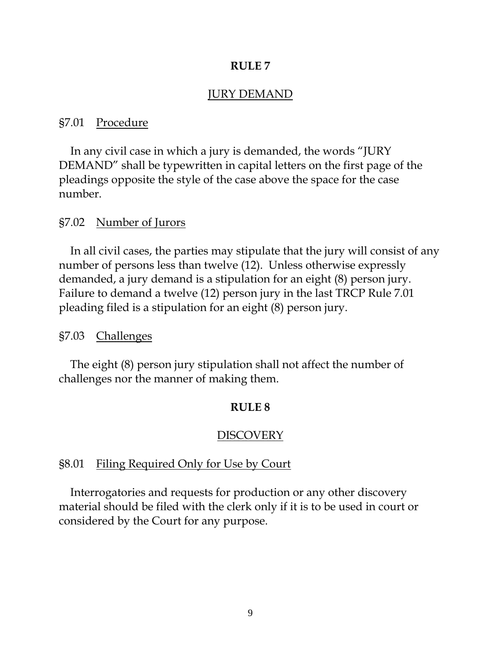#### JURY DEMAND

#### §7.01 Procedure

 In any civil case in which a jury is demanded, the words "JURY DEMAND" shall be typewritten in capital letters on the first page of the pleadings opposite the style of the case above the space for the case number.

#### §7.02 Number of Jurors

 In all civil cases, the parties may stipulate that the jury will consist of any number of persons less than twelve (12). Unless otherwise expressly demanded, a jury demand is a stipulation for an eight (8) person jury. Failure to demand a twelve (12) person jury in the last TRCP Rule 7.01 pleading filed is a stipulation for an eight (8) person jury.

#### §7.03 Challenges

 The eight (8) person jury stipulation shall not affect the number of challenges nor the manner of making them.

#### **RULE 8**

#### DISCOVERY

#### §8.01 Filing Required Only for Use by Court

 Interrogatories and requests for production or any other discovery material should be filed with the clerk only if it is to be used in court or considered by the Court for any purpose.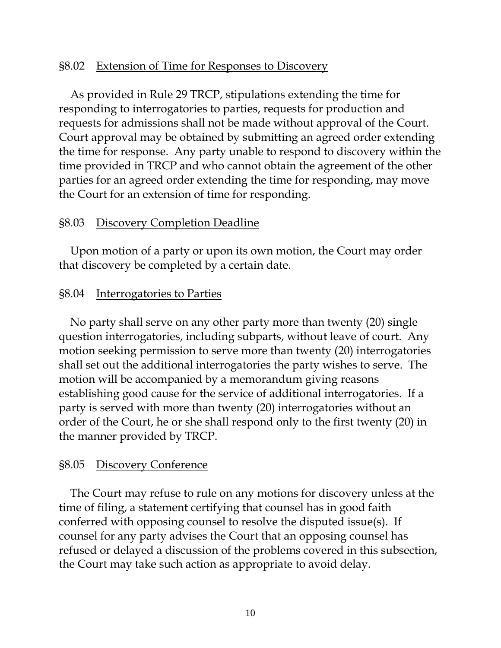## §8.02 Extension of Time for Responses to Discovery

 As provided in Rule 29 TRCP, stipulations extending the time for responding to interrogatories to parties, requests for production and requests for admissions shall not be made without approval of the Court. Court approval may be obtained by submitting an agreed order extending the time for response. Any party unable to respond to discovery within the time provided in TRCP and who cannot obtain the agreement of the other parties for an agreed order extending the time for responding, may move the Court for an extension of time for responding.

#### §8.03 Discovery Completion Deadline

 Upon motion of a party or upon its own motion, the Court may order that discovery be completed by a certain date.

#### §8.04 Interrogatories to Parties

 No party shall serve on any other party more than twenty (20) single question interrogatories, including subparts, without leave of court. Any motion seeking permission to serve more than twenty (20) interrogatories shall set out the additional interrogatories the party wishes to serve. The motion will be accompanied by a memorandum giving reasons establishing good cause for the service of additional interrogatories. If a party is served with more than twenty (20) interrogatories without an order of the Court, he or she shall respond only to the first twenty (20) in the manner provided by TRCP.

#### §8.05 Discovery Conference

 The Court may refuse to rule on any motions for discovery unless at the time of filing, a statement certifying that counsel has in good faith conferred with opposing counsel to resolve the disputed issue(s). If counsel for any party advises the Court that an opposing counsel has refused or delayed a discussion of the problems covered in this subsection, the Court may take such action as appropriate to avoid delay.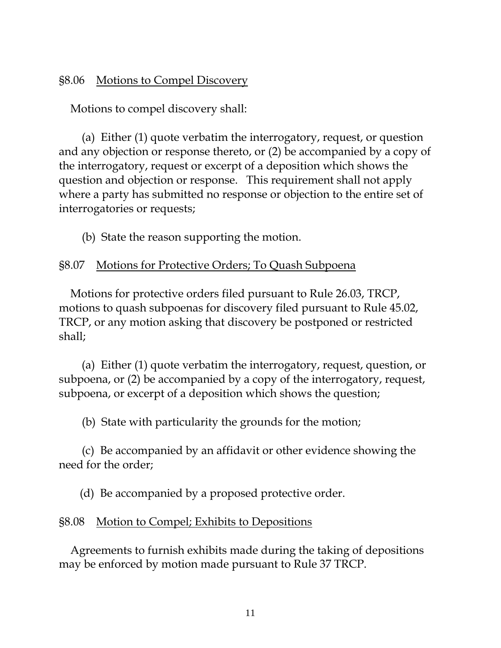# §8.06 Motions to Compel Discovery

Motions to compel discovery shall:

 (a) Either (1) quote verbatim the interrogatory, request, or question and any objection or response thereto, or (2) be accompanied by a copy of the interrogatory, request or excerpt of a deposition which shows the question and objection or response. This requirement shall not apply where a party has submitted no response or objection to the entire set of interrogatories or requests;

(b) State the reason supporting the motion.

## §8.07 Motions for Protective Orders; To Quash Subpoena

 Motions for protective orders filed pursuant to Rule 26.03, TRCP, motions to quash subpoenas for discovery filed pursuant to Rule 45.02, TRCP, or any motion asking that discovery be postponed or restricted shall;

 (a) Either (1) quote verbatim the interrogatory, request, question, or subpoena, or (2) be accompanied by a copy of the interrogatory, request, subpoena, or excerpt of a deposition which shows the question;

(b) State with particularity the grounds for the motion;

 (c) Be accompanied by an affidavit or other evidence showing the need for the order;

(d) Be accompanied by a proposed protective order.

## §8.08 Motion to Compel; Exhibits to Depositions

 Agreements to furnish exhibits made during the taking of depositions may be enforced by motion made pursuant to Rule 37 TRCP.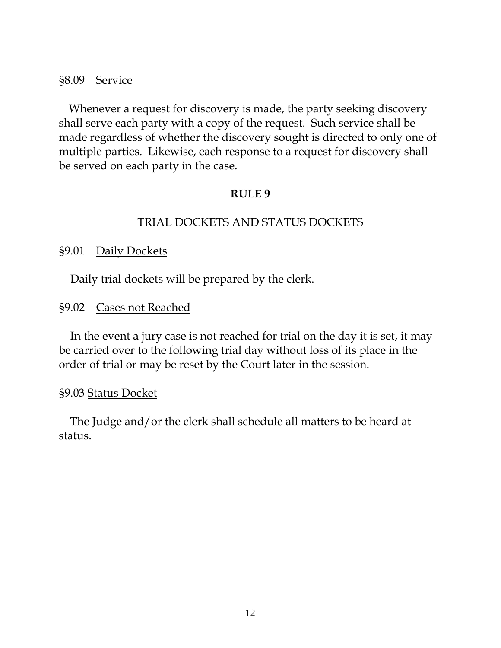## §8.09 Service

 Whenever a request for discovery is made, the party seeking discovery shall serve each party with a copy of the request. Such service shall be made regardless of whether the discovery sought is directed to only one of multiple parties. Likewise, each response to a request for discovery shall be served on each party in the case.

## **RULE 9**

## TRIAL DOCKETS AND STATUS DOCKETS

## §9.01 Daily Dockets

Daily trial dockets will be prepared by the clerk.

## §9.02 Cases not Reached

 In the event a jury case is not reached for trial on the day it is set, it may be carried over to the following trial day without loss of its place in the order of trial or may be reset by the Court later in the session.

## §9.03 Status Docket

 The Judge and/or the clerk shall schedule all matters to be heard at status.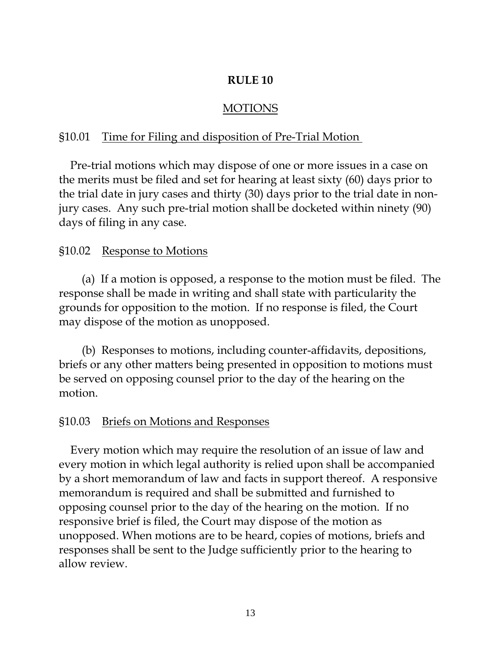# MOTIONS

# §10.01 Time for Filing and disposition of Pre-Trial Motion

 Pre-trial motions which may dispose of one or more issues in a case on the merits must be filed and set for hearing at least sixty (60) days prior to the trial date in jury cases and thirty (30) days prior to the trial date in nonjury cases. Any such pre-trial motion shall be docketed within ninety (90) days of filing in any case.

## §10.02 Response to Motions

 (a) If a motion is opposed, a response to the motion must be filed. The response shall be made in writing and shall state with particularity the grounds for opposition to the motion. If no response is filed, the Court may dispose of the motion as unopposed.

 (b) Responses to motions, including counter-affidavits, depositions, briefs or any other matters being presented in opposition to motions must be served on opposing counsel prior to the day of the hearing on the motion.

## §10.03 Briefs on Motions and Responses

 Every motion which may require the resolution of an issue of law and every motion in which legal authority is relied upon shall be accompanied by a short memorandum of law and facts in support thereof. A responsive memorandum is required and shall be submitted and furnished to opposing counsel prior to the day of the hearing on the motion. If no responsive brief is filed, the Court may dispose of the motion as unopposed. When motions are to be heard, copies of motions, briefs and responses shall be sent to the Judge sufficiently prior to the hearing to allow review.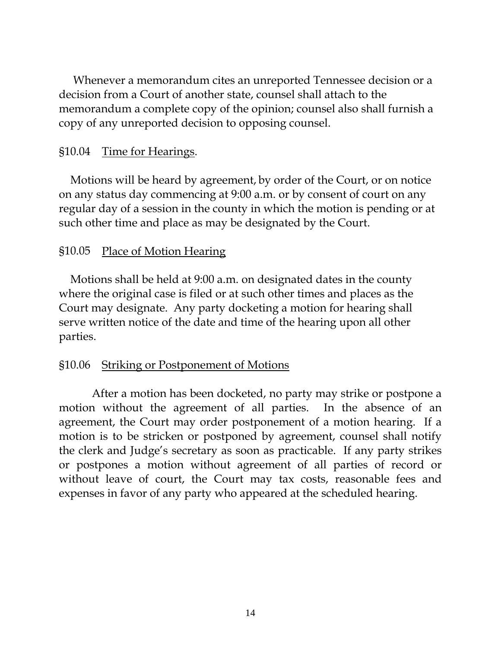Whenever a memorandum cites an unreported Tennessee decision or a decision from a Court of another state, counsel shall attach to the memorandum a complete copy of the opinion; counsel also shall furnish a copy of any unreported decision to opposing counsel.

## §10.04 Time for Hearings.

 Motions will be heard by agreement, by order of the Court, or on notice on any status day commencing at 9:00 a.m. or by consent of court on any regular day of a session in the county in which the motion is pending or at such other time and place as may be designated by the Court.

## §10.05 Place of Motion Hearing

 Motions shall be held at 9:00 a.m. on designated dates in the county where the original case is filed or at such other times and places as the Court may designate. Any party docketing a motion for hearing shall serve written notice of the date and time of the hearing upon all other parties.

## §10.06 Striking or Postponement of Motions

After a motion has been docketed, no party may strike or postpone a motion without the agreement of all parties. In the absence of an agreement, the Court may order postponement of a motion hearing. If a motion is to be stricken or postponed by agreement, counsel shall notify the clerk and Judge's secretary as soon as practicable. If any party strikes or postpones a motion without agreement of all parties of record or without leave of court, the Court may tax costs, reasonable fees and expenses in favor of any party who appeared at the scheduled hearing.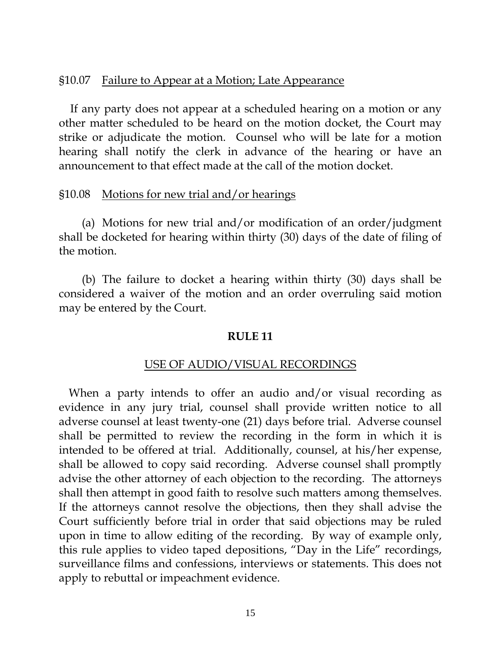## §10.07 Failure to Appear at a Motion; Late Appearance

If any party does not appear at a scheduled hearing on a motion or any other matter scheduled to be heard on the motion docket, the Court may strike or adjudicate the motion. Counsel who will be late for a motion hearing shall notify the clerk in advance of the hearing or have an announcement to that effect made at the call of the motion docket.

#### §10.08 Motions for new trial and/or hearings

 (a) Motions for new trial and/or modification of an order/judgment shall be docketed for hearing within thirty (30) days of the date of filing of the motion.

(b) The failure to docket a hearing within thirty (30) days shall be considered a waiver of the motion and an order overruling said motion may be entered by the Court.

#### **RULE 11**

## USE OF AUDIO/VISUAL RECORDINGS

 When a party intends to offer an audio and/or visual recording as evidence in any jury trial, counsel shall provide written notice to all adverse counsel at least twenty-one (21) days before trial. Adverse counsel shall be permitted to review the recording in the form in which it is intended to be offered at trial. Additionally, counsel, at his/her expense, shall be allowed to copy said recording. Adverse counsel shall promptly advise the other attorney of each objection to the recording. The attorneys shall then attempt in good faith to resolve such matters among themselves. If the attorneys cannot resolve the objections, then they shall advise the Court sufficiently before trial in order that said objections may be ruled upon in time to allow editing of the recording. By way of example only, this rule applies to video taped depositions, "Day in the Life" recordings, surveillance films and confessions, interviews or statements. This does not apply to rebuttal or impeachment evidence.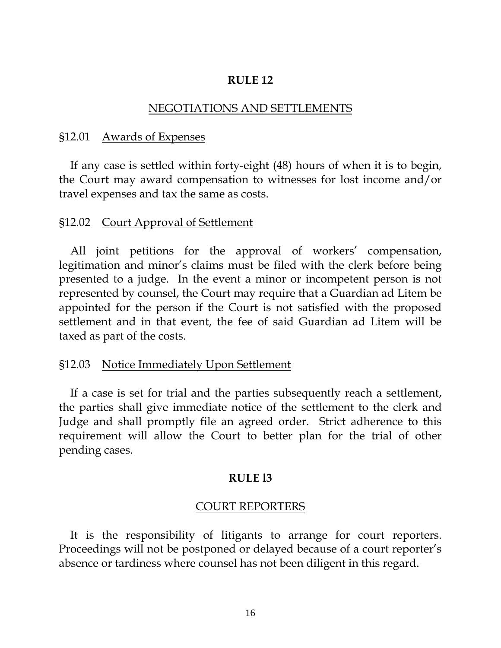#### NEGOTIATIONS AND SETTLEMENTS

#### §12.01 Awards of Expenses

If any case is settled within forty-eight (48) hours of when it is to begin, the Court may award compensation to witnesses for lost income and/or travel expenses and tax the same as costs.

#### §12.02 Court Approval of Settlement

All joint petitions for the approval of workers' compensation, legitimation and minor's claims must be filed with the clerk before being presented to a judge. In the event a minor or incompetent person is not represented by counsel, the Court may require that a Guardian ad Litem be appointed for the person if the Court is not satisfied with the proposed settlement and in that event, the fee of said Guardian ad Litem will be taxed as part of the costs.

#### §12.03 Notice Immediately Upon Settlement

If a case is set for trial and the parties subsequently reach a settlement, the parties shall give immediate notice of the settlement to the clerk and Judge and shall promptly file an agreed order. Strict adherence to this requirement will allow the Court to better plan for the trial of other pending cases.

#### **RULE l3**

#### COURT REPORTERS

 It is the responsibility of litigants to arrange for court reporters. Proceedings will not be postponed or delayed because of a court reporter's absence or tardiness where counsel has not been diligent in this regard.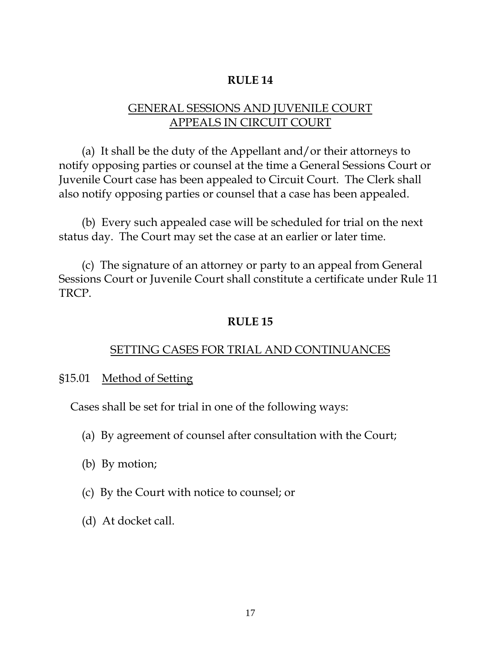# GENERAL SESSIONS AND JUVENILE COURT APPEALS IN CIRCUIT COURT

 (a) It shall be the duty of the Appellant and/or their attorneys to notify opposing parties or counsel at the time a General Sessions Court or Juvenile Court case has been appealed to Circuit Court. The Clerk shall also notify opposing parties or counsel that a case has been appealed.

 (b) Every such appealed case will be scheduled for trial on the next status day. The Court may set the case at an earlier or later time.

 (c) The signature of an attorney or party to an appeal from General Sessions Court or Juvenile Court shall constitute a certificate under Rule 11 TRCP.

## **RULE 15**

# SETTING CASES FOR TRIAL AND CONTINUANCES

## §15.01 Method of Setting

Cases shall be set for trial in one of the following ways:

- (a) By agreement of counsel after consultation with the Court;
- (b) By motion;
- (c) By the Court with notice to counsel; or
- (d) At docket call.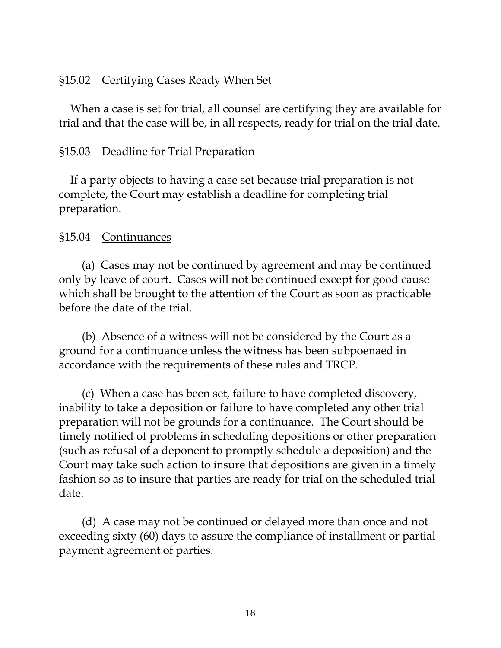# §15.02 Certifying Cases Ready When Set

 When a case is set for trial, all counsel are certifying they are available for trial and that the case will be, in all respects, ready for trial on the trial date.

## §15.03 Deadline for Trial Preparation

 If a party objects to having a case set because trial preparation is not complete, the Court may establish a deadline for completing trial preparation.

# §15.04 Continuances

 (a) Cases may not be continued by agreement and may be continued only by leave of court. Cases will not be continued except for good cause which shall be brought to the attention of the Court as soon as practicable before the date of the trial.

 (b) Absence of a witness will not be considered by the Court as a ground for a continuance unless the witness has been subpoenaed in accordance with the requirements of these rules and TRCP.

 (c) When a case has been set, failure to have completed discovery, inability to take a deposition or failure to have completed any other trial preparation will not be grounds for a continuance. The Court should be timely notified of problems in scheduling depositions or other preparation (such as refusal of a deponent to promptly schedule a deposition) and the Court may take such action to insure that depositions are given in a timely fashion so as to insure that parties are ready for trial on the scheduled trial date.

 (d) A case may not be continued or delayed more than once and not exceeding sixty (60) days to assure the compliance of installment or partial payment agreement of parties.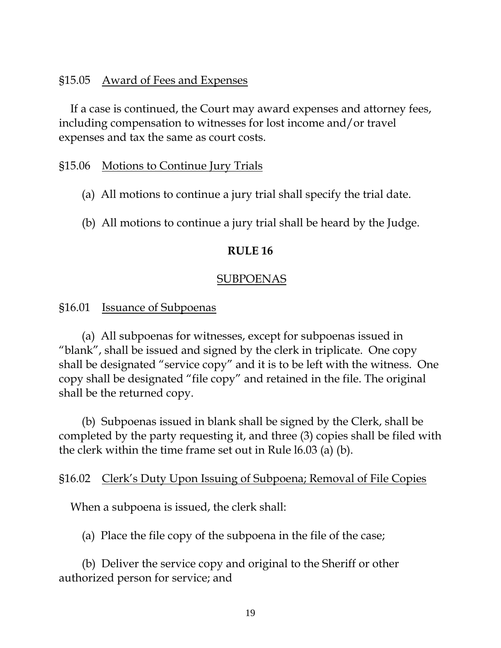## §15.05 Award of Fees and Expenses

 If a case is continued, the Court may award expenses and attorney fees, including compensation to witnesses for lost income and/or travel expenses and tax the same as court costs.

## §15.06 Motions to Continue Jury Trials

- (a) All motions to continue a jury trial shall specify the trial date.
- (b) All motions to continue a jury trial shall be heard by the Judge.

## **RULE 16**

#### SUBPOENAS

## §16.01 Issuance of Subpoenas

 (a) All subpoenas for witnesses, except for subpoenas issued in "blank", shall be issued and signed by the clerk in triplicate. One copy shall be designated "service copy" and it is to be left with the witness. One copy shall be designated "file copy" and retained in the file. The original shall be the returned copy.

 (b) Subpoenas issued in blank shall be signed by the Clerk, shall be completed by the party requesting it, and three (3) copies shall be filed with the clerk within the time frame set out in Rule l6.03 (a) (b).

#### §16.02 Clerk's Duty Upon Issuing of Subpoena; Removal of File Copies

When a subpoena is issued, the clerk shall:

(a) Place the file copy of the subpoena in the file of the case;

 (b) Deliver the service copy and original to the Sheriff or other authorized person for service; and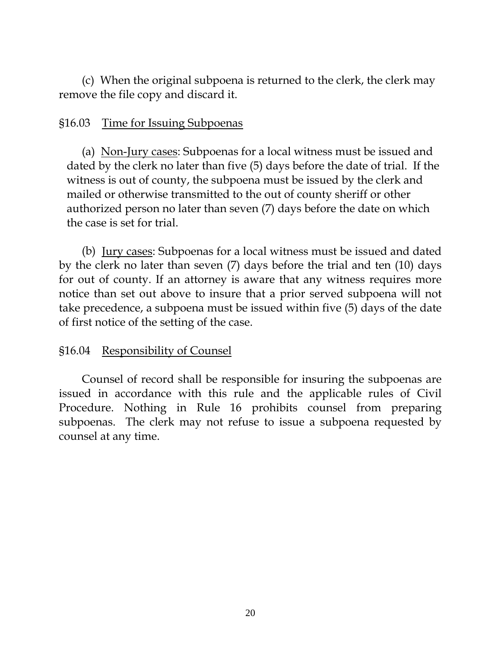(c) When the original subpoena is returned to the clerk, the clerk may remove the file copy and discard it.

## §16.03 Time for Issuing Subpoenas

 (a) Non-Jury cases: Subpoenas for a local witness must be issued and dated by the clerk no later than five (5) days before the date of trial. If the witness is out of county, the subpoena must be issued by the clerk and mailed or otherwise transmitted to the out of county sheriff or other authorized person no later than seven (7) days before the date on which the case is set for trial.

 (b) Jury cases: Subpoenas for a local witness must be issued and dated by the clerk no later than seven (7) days before the trial and ten (10) days for out of county. If an attorney is aware that any witness requires more notice than set out above to insure that a prior served subpoena will not take precedence, a subpoena must be issued within five (5) days of the date of first notice of the setting of the case.

# §16.04 Responsibility of Counsel

Counsel of record shall be responsible for insuring the subpoenas are issued in accordance with this rule and the applicable rules of Civil Procedure. Nothing in Rule 16 prohibits counsel from preparing subpoenas. The clerk may not refuse to issue a subpoena requested by counsel at any time.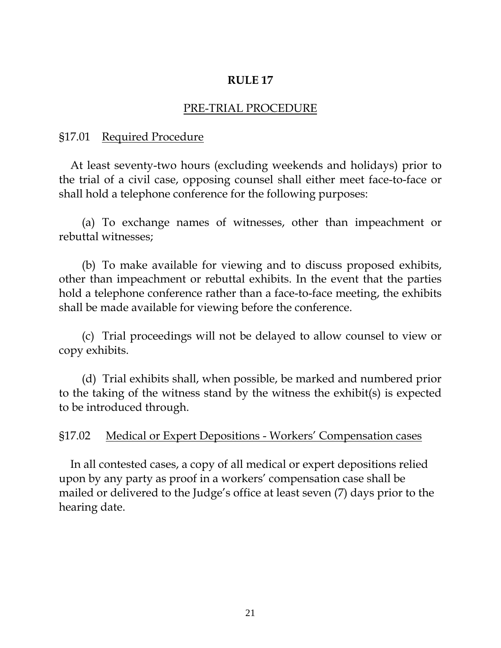## PRE-TRIAL PROCEDURE

## §17.01 Required Procedure

At least seventy-two hours (excluding weekends and holidays) prior to the trial of a civil case, opposing counsel shall either meet face-to-face or shall hold a telephone conference for the following purposes:

 (a) To exchange names of witnesses, other than impeachment or rebuttal witnesses;

 (b) To make available for viewing and to discuss proposed exhibits, other than impeachment or rebuttal exhibits. In the event that the parties hold a telephone conference rather than a face-to-face meeting, the exhibits shall be made available for viewing before the conference.

 (c) Trial proceedings will not be delayed to allow counsel to view or copy exhibits.

(d) Trial exhibits shall, when possible, be marked and numbered prior to the taking of the witness stand by the witness the exhibit(s) is expected to be introduced through.

### §17.02 Medical or Expert Depositions - Workers' Compensation cases

 In all contested cases, a copy of all medical or expert depositions relied upon by any party as proof in a workers' compensation case shall be mailed or delivered to the Judge's office at least seven (7) days prior to the hearing date.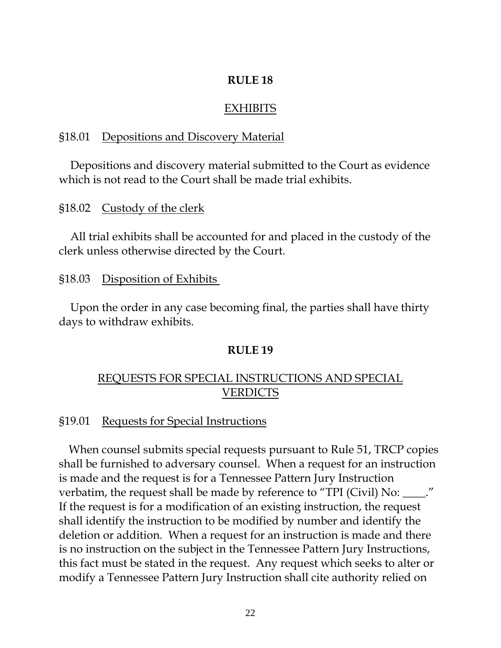#### EXHIBITS

#### §18.01 Depositions and Discovery Material

 Depositions and discovery material submitted to the Court as evidence which is not read to the Court shall be made trial exhibits.

#### §18.02 Custody of the clerk

 All trial exhibits shall be accounted for and placed in the custody of the clerk unless otherwise directed by the Court.

#### §18.03 Disposition of Exhibits

 Upon the order in any case becoming final, the parties shall have thirty days to withdraw exhibits.

#### **RULE 19**

## REQUESTS FOR SPECIAL INSTRUCTIONS AND SPECIAL VERDICTS

#### §19.01 Requests for Special Instructions

 When counsel submits special requests pursuant to Rule 51, TRCP copies shall be furnished to adversary counsel. When a request for an instruction is made and the request is for a Tennessee Pattern Jury Instruction verbatim, the request shall be made by reference to "TPI (Civil) No: \_\_\_\_." If the request is for a modification of an existing instruction, the request shall identify the instruction to be modified by number and identify the deletion or addition. When a request for an instruction is made and there is no instruction on the subject in the Tennessee Pattern Jury Instructions, this fact must be stated in the request. Any request which seeks to alter or modify a Tennessee Pattern Jury Instruction shall cite authority relied on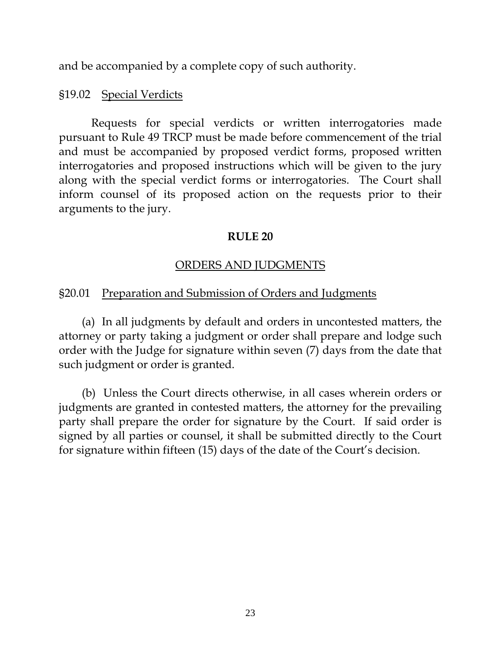and be accompanied by a complete copy of such authority.

# §19.02 Special Verdicts

Requests for special verdicts or written interrogatories made pursuant to Rule 49 TRCP must be made before commencement of the trial and must be accompanied by proposed verdict forms, proposed written interrogatories and proposed instructions which will be given to the jury along with the special verdict forms or interrogatories. The Court shall inform counsel of its proposed action on the requests prior to their arguments to the jury.

# **RULE 20**

# ORDERS AND JUDGMENTS

# §20.01 Preparation and Submission of Orders and Judgments

 (a) In all judgments by default and orders in uncontested matters, the attorney or party taking a judgment or order shall prepare and lodge such order with the Judge for signature within seven (7) days from the date that such judgment or order is granted.

 (b) Unless the Court directs otherwise, in all cases wherein orders or judgments are granted in contested matters, the attorney for the prevailing party shall prepare the order for signature by the Court. If said order is signed by all parties or counsel, it shall be submitted directly to the Court for signature within fifteen (15) days of the date of the Court's decision.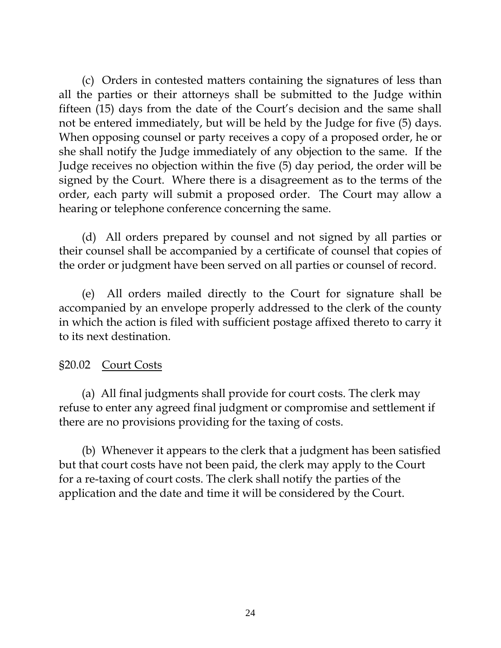(c) Orders in contested matters containing the signatures of less than all the parties or their attorneys shall be submitted to the Judge within fifteen (15) days from the date of the Court's decision and the same shall not be entered immediately, but will be held by the Judge for five (5) days. When opposing counsel or party receives a copy of a proposed order, he or she shall notify the Judge immediately of any objection to the same. If the Judge receives no objection within the five (5) day period, the order will be signed by the Court. Where there is a disagreement as to the terms of the order, each party will submit a proposed order. The Court may allow a hearing or telephone conference concerning the same.

 (d) All orders prepared by counsel and not signed by all parties or their counsel shall be accompanied by a certificate of counsel that copies of the order or judgment have been served on all parties or counsel of record.

(e) All orders mailed directly to the Court for signature shall be accompanied by an envelope properly addressed to the clerk of the county in which the action is filed with sufficient postage affixed thereto to carry it to its next destination.

# §20.02 Court Costs

 (a) All final judgments shall provide for court costs. The clerk may refuse to enter any agreed final judgment or compromise and settlement if there are no provisions providing for the taxing of costs.

 (b) Whenever it appears to the clerk that a judgment has been satisfied but that court costs have not been paid, the clerk may apply to the Court for a re-taxing of court costs. The clerk shall notify the parties of the application and the date and time it will be considered by the Court.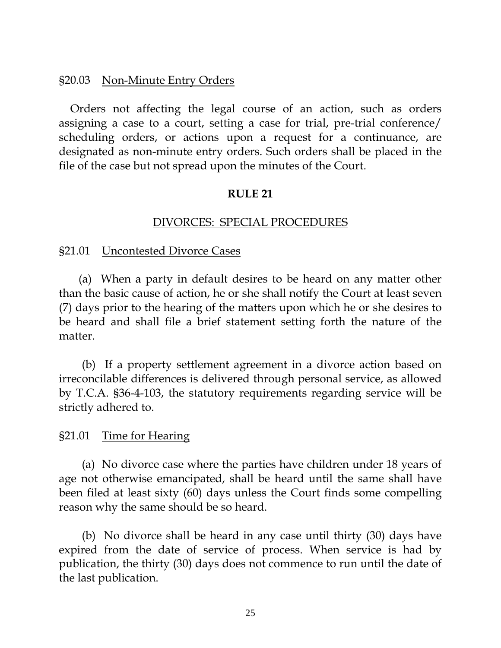## §20.03 Non-Minute Entry Orders

Orders not affecting the legal course of an action, such as orders assigning a case to a court, setting a case for trial, pre-trial conference/ scheduling orders, or actions upon a request for a continuance, are designated as non-minute entry orders. Such orders shall be placed in the file of the case but not spread upon the minutes of the Court.

## **RULE 21**

## DIVORCES: SPECIAL PROCEDURES

#### §21.01 Uncontested Divorce Cases

 (a) When a party in default desires to be heard on any matter other than the basic cause of action, he or she shall notify the Court at least seven (7) days prior to the hearing of the matters upon which he or she desires to be heard and shall file a brief statement setting forth the nature of the matter.

(b) If a property settlement agreement in a divorce action based on irreconcilable differences is delivered through personal service, as allowed by T.C.A. §36-4-103, the statutory requirements regarding service will be strictly adhered to.

#### §21.01 Time for Hearing

 (a) No divorce case where the parties have children under 18 years of age not otherwise emancipated, shall be heard until the same shall have been filed at least sixty (60) days unless the Court finds some compelling reason why the same should be so heard.

(b) No divorce shall be heard in any case until thirty (30) days have expired from the date of service of process. When service is had by publication, the thirty (30) days does not commence to run until the date of the last publication.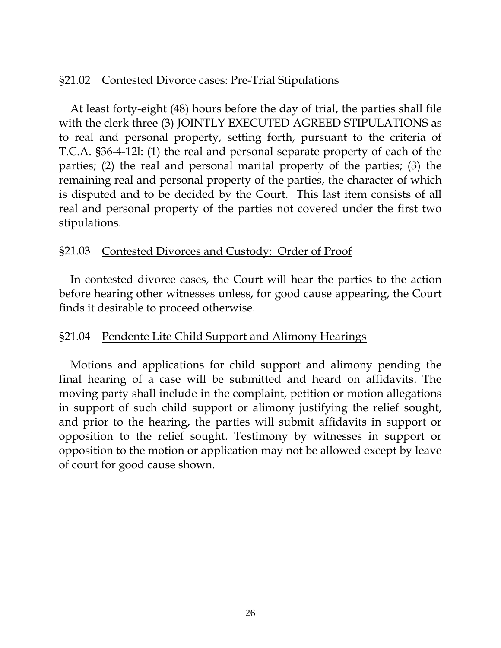## §21.02 Contested Divorce cases: Pre-Trial Stipulations

At least forty-eight (48) hours before the day of trial, the parties shall file with the clerk three (3) JOINTLY EXECUTED AGREED STIPULATIONS as to real and personal property, setting forth, pursuant to the criteria of T.C.A. §36-4-12l: (1) the real and personal separate property of each of the parties; (2) the real and personal marital property of the parties; (3) the remaining real and personal property of the parties, the character of which is disputed and to be decided by the Court. This last item consists of all real and personal property of the parties not covered under the first two stipulations.

## §21.03 Contested Divorces and Custody: Order of Proof

In contested divorce cases, the Court will hear the parties to the action before hearing other witnesses unless, for good cause appearing, the Court finds it desirable to proceed otherwise.

## §21.04 Pendente Lite Child Support and Alimony Hearings

 Motions and applications for child support and alimony pending the final hearing of a case will be submitted and heard on affidavits. The moving party shall include in the complaint, petition or motion allegations in support of such child support or alimony justifying the relief sought, and prior to the hearing, the parties will submit affidavits in support or opposition to the relief sought. Testimony by witnesses in support or opposition to the motion or application may not be allowed except by leave of court for good cause shown.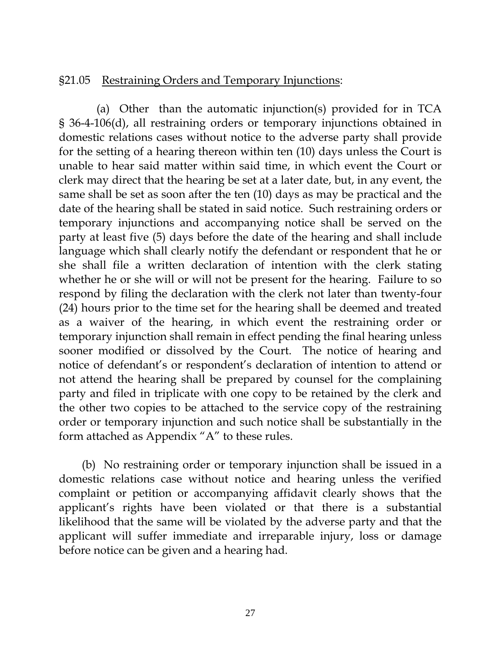## §21.05 Restraining Orders and Temporary Injunctions:

(a) Other than the automatic injunction(s) provided for in TCA § 36-4-106(d), all restraining orders or temporary injunctions obtained in domestic relations cases without notice to the adverse party shall provide for the setting of a hearing thereon within ten (10) days unless the Court is unable to hear said matter within said time, in which event the Court or clerk may direct that the hearing be set at a later date, but, in any event, the same shall be set as soon after the ten (10) days as may be practical and the date of the hearing shall be stated in said notice. Such restraining orders or temporary injunctions and accompanying notice shall be served on the party at least five (5) days before the date of the hearing and shall include language which shall clearly notify the defendant or respondent that he or she shall file a written declaration of intention with the clerk stating whether he or she will or will not be present for the hearing. Failure to so respond by filing the declaration with the clerk not later than twenty-four (24) hours prior to the time set for the hearing shall be deemed and treated as a waiver of the hearing, in which event the restraining order or temporary injunction shall remain in effect pending the final hearing unless sooner modified or dissolved by the Court. The notice of hearing and notice of defendant's or respondent's declaration of intention to attend or not attend the hearing shall be prepared by counsel for the complaining party and filed in triplicate with one copy to be retained by the clerk and the other two copies to be attached to the service copy of the restraining order or temporary injunction and such notice shall be substantially in the form attached as Appendix "A" to these rules.

(b) No restraining order or temporary injunction shall be issued in a domestic relations case without notice and hearing unless the verified complaint or petition or accompanying affidavit clearly shows that the applicant's rights have been violated or that there is a substantial likelihood that the same will be violated by the adverse party and that the applicant will suffer immediate and irreparable injury, loss or damage before notice can be given and a hearing had.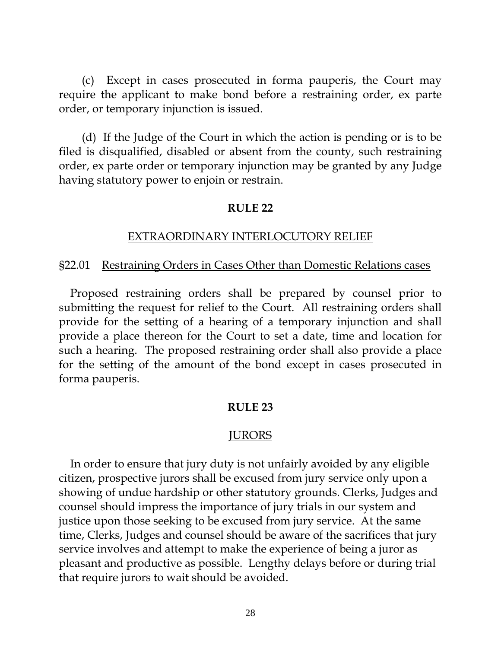(c) Except in cases prosecuted in forma pauperis, the Court may require the applicant to make bond before a restraining order, ex parte order, or temporary injunction is issued.

(d) If the Judge of the Court in which the action is pending or is to be filed is disqualified, disabled or absent from the county, such restraining order, ex parte order or temporary injunction may be granted by any Judge having statutory power to enjoin or restrain.

## **RULE 22**

## EXTRAORDINARY INTERLOCUTORY RELIEF

## §22.01 Restraining Orders in Cases Other than Domestic Relations cases

 Proposed restraining orders shall be prepared by counsel prior to submitting the request for relief to the Court. All restraining orders shall provide for the setting of a hearing of a temporary injunction and shall provide a place thereon for the Court to set a date, time and location for such a hearing. The proposed restraining order shall also provide a place for the setting of the amount of the bond except in cases prosecuted in forma pauperis.

#### **RULE 23**

## JURORS

 In order to ensure that jury duty is not unfairly avoided by any eligible citizen, prospective jurors shall be excused from jury service only upon a showing of undue hardship or other statutory grounds. Clerks, Judges and counsel should impress the importance of jury trials in our system and justice upon those seeking to be excused from jury service. At the same time, Clerks, Judges and counsel should be aware of the sacrifices that jury service involves and attempt to make the experience of being a juror as pleasant and productive as possible. Lengthy delays before or during trial that require jurors to wait should be avoided.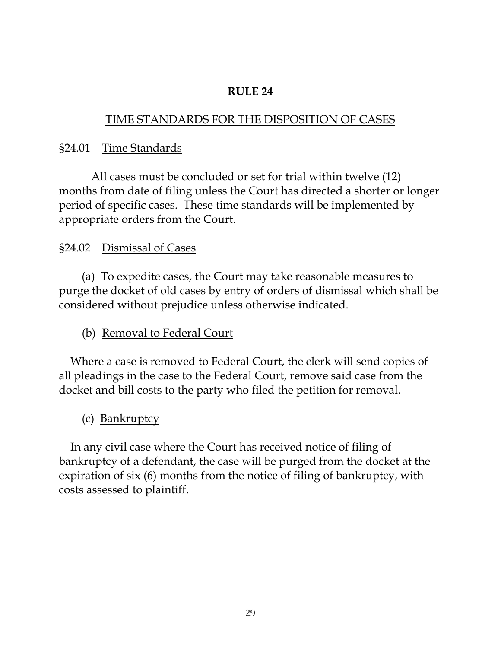# TIME STANDARDS FOR THE DISPOSITION OF CASES

# §24.01 Time Standards

All cases must be concluded or set for trial within twelve (12) months from date of filing unless the Court has directed a shorter or longer period of specific cases. These time standards will be implemented by appropriate orders from the Court.

# §24.02 Dismissal of Cases

 (a) To expedite cases, the Court may take reasonable measures to purge the docket of old cases by entry of orders of dismissal which shall be considered without prejudice unless otherwise indicated.

(b) Removal to Federal Court

 Where a case is removed to Federal Court, the clerk will send copies of all pleadings in the case to the Federal Court, remove said case from the docket and bill costs to the party who filed the petition for removal.

(c) Bankruptcy

 In any civil case where the Court has received notice of filing of bankruptcy of a defendant, the case will be purged from the docket at the expiration of six (6) months from the notice of filing of bankruptcy, with costs assessed to plaintiff.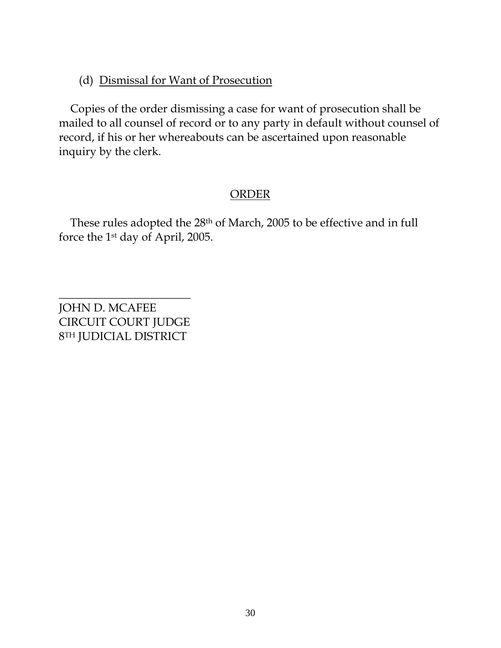# (d) Dismissal for Want of Prosecution

 Copies of the order dismissing a case for want of prosecution shall be mailed to all counsel of record or to any party in default without counsel of record, if his or her whereabouts can be ascertained upon reasonable inquiry by the clerk.

# **ORDER**

 These rules adopted the 28th of March, 2005 to be effective and in full force the 1st day of April, 2005.

\_\_\_\_\_\_\_\_\_\_\_\_\_\_\_\_\_\_\_\_\_\_\_ JOHN D. MCAFEE CIRCUIT COURT JUDGE 8TH JUDICIAL DISTRICT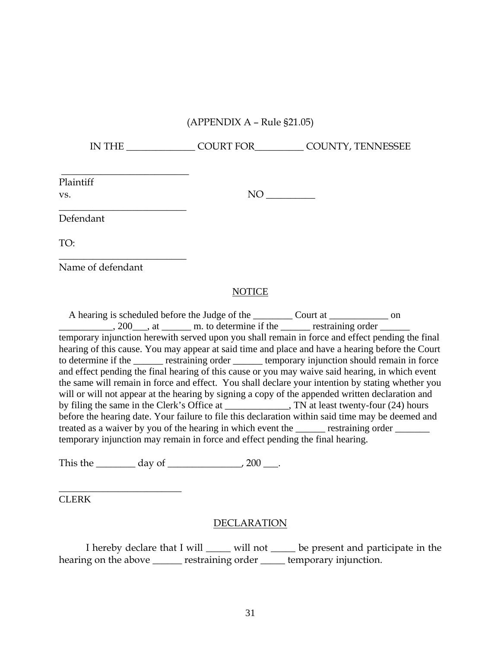#### (APPENDIX A – Rule §21.05)

IN THE \_\_\_\_\_\_\_\_\_\_\_\_\_\_ COURT FOR\_\_\_\_\_\_\_\_\_\_ COUNTY, TENNESSEE

Plaintiff

vs. NO \_\_\_\_\_\_\_\_\_\_

Defendant

TO:

Name of defendant

 $\overline{\phantom{a}}$  , we can consider the constraint of the constraint  $\overline{\phantom{a}}$ 

 $\overline{\phantom{a}}$  , where  $\overline{\phantom{a}}$  , where  $\overline{\phantom{a}}$  , where  $\overline{\phantom{a}}$ 

 $\overline{\phantom{a}}$  , where  $\overline{\phantom{a}}$  , where  $\overline{\phantom{a}}$  , where  $\overline{\phantom{a}}$ 

#### NOTICE

 A hearing is scheduled before the Judge of the \_\_\_\_\_\_\_\_ Court at \_\_\_\_\_\_\_\_\_\_\_\_ on  $\frac{1}{200}$ , at  $\frac{1}{200}$  m. to determine if the  $\frac{1}{200}$  restraining order  $\frac{1}{200}$ temporary injunction herewith served upon you shall remain in force and effect pending the final hearing of this cause. You may appear at said time and place and have a hearing before the Court to determine if the \_\_\_\_\_\_ restraining order \_\_\_\_\_\_ temporary injunction should remain in force and effect pending the final hearing of this cause or you may waive said hearing, in which event the same will remain in force and effect. You shall declare your intention by stating whether you will or will not appear at the hearing by signing a copy of the appended written declaration and by filing the same in the Clerk's Office at  $\qquad \qquad$ , TN at least twenty-four (24) hours before the hearing date. Your failure to file this declaration within said time may be deemed and treated as a waiver by you of the hearing in which event the <u>security</u> restraining order temporary injunction may remain in force and effect pending the final hearing.

This the  $\_\_\_\_\_\_\_\_\_\_\_\_\_\_\_\_\_\_\_\_\_$ .

CLERK

\_\_\_\_\_\_\_\_\_\_\_\_\_\_\_\_\_\_\_\_\_\_\_\_\_

#### DECLARATION

I hereby declare that I will \_\_\_\_\_ will not \_\_\_\_\_ be present and participate in the hearing on the above \_\_\_\_\_\_\_ restraining order \_\_\_\_\_\_ temporary injunction.